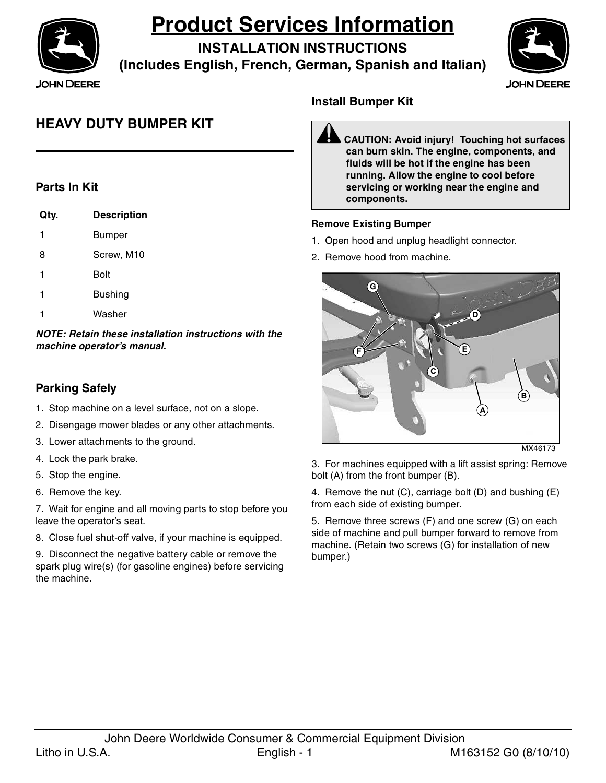

# **Product Services Information**

**INSTALLATION INSTRUCTIONS (Includes English, French, German, Spanish and Italian)**



**JOHN DEERE** 

## **HEAVY DUTY BUMPER KIT**

#### **Parts In Kit**

| <b>Description</b> |
|--------------------|
| Bumper             |
| Screw, M10         |
| Bolt               |
| <b>Bushing</b>     |
| Washer             |
|                    |

**NOTE: Retain these installation instructions with the machine operator's manual.**

#### **Parking Safely**

- 1. Stop machine on a level surface, not on a slope.
- 2. Disengage mower blades or any other attachments.
- 3. Lower attachments to the ground.
- 4. Lock the park brake.
- 5. Stop the engine.
- 6. Remove the key.

7. Wait for engine and all moving parts to stop before you leave the operator's seat.

8. Close fuel shut-off valve, if your machine is equipped.

9. Disconnect the negative battery cable or remove the spark plug wire(s) (for gasoline engines) before servicing the machine.

### **Install Bumper Kit**

c **CAUTION: Avoid injury! Touching hot surfaces can burn skin. The engine, components, and fluids will be hot if the engine has been running. Allow the engine to cool before servicing or working near the engine and components.**

#### **Remove Existing Bumper**

- 1. Open hood and unplug headlight connector.
- 2. Remove hood from machine.



 $MYAG172$ 

3. For machines equipped with a lift assist spring: Remove bolt (A) from the front bumper (B).

4. Remove the nut (C), carriage bolt (D) and bushing (E) from each side of existing bumper.

5. Remove three screws (F) and one screw (G) on each side of machine and pull bumper forward to remove from machine. (Retain two screws (G) for installation of new bumper.)